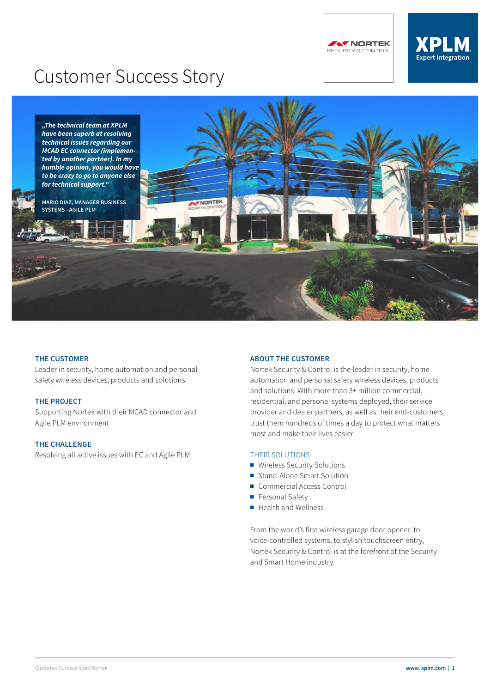**AF NORTEK** SECURITY & CONTROL

# **XPLM Expert Integration**

# Customer Success Story



#### **THE CUSTOMER**

Leader in security, home automation and personal safety wireless devices, products and solutions

#### **THE PROJECT**

Supporting Nortek with their MCAD connector and Agile PLM environment

#### **THE CHALLENGE**

Resolving all active issues with EC and Agile PLM

## **ABOUT THE CUSTOMER**

Nortek Security & Control is the leader in security, home automation and personal safety wireless devices, products and solutions. With more than 3+ million commercial, residential, and personal systems deployed, their service provider and dealer partners, as well as their end-customers, trust them hundreds of times a day to protect what matters most and make their lives easier.

#### THEIR SOLUTIONS

- Wireless Security Solutions
- Stand-Alone Smart Solution
- Commercial Access Control
- Personal Safety
- Health and Wellness

From the world's first wireless garage door opener, to voice-controlled systems, to stylish touchscreen entry, Nortek Security & Control is at the forefront of the Security and Smart Home industry.